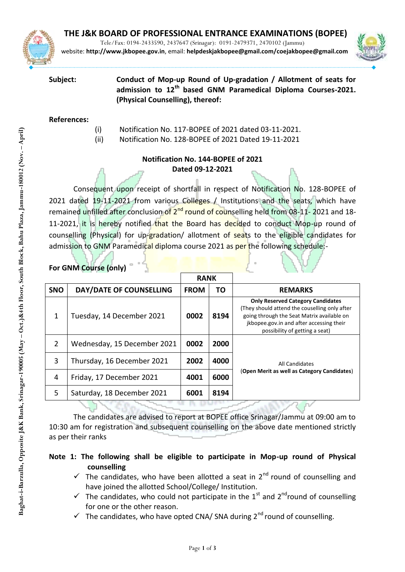

Tele/Fax: 0194-2433590, 2437647 (Srinagar): 0191-2479371, 2470102 (Jammu) website: **http://www.jkbopee.gov.in**, email: **[helpdeskjakbopee@gmail.com/c](mailto:helpdeskjakbopee@gmail.com/)oejakbopee@gmail.com**



**Subject: Conduct of Mop-up Round of Up-gradation / Allotment of seats for admission to 12th based GNM Paramedical Diploma Courses-2021. (Physical Counselling), thereof:**

#### **References:**

- (i) Notification No. 117-BOPEE of 2021 dated 03-11-2021.
- (ii) Notification No. 128-BOPEE of 2021 Dated 19-11-2021

# **Notification No. 144-BOPEE of 2021 Dated 09-12-2021**

Consequent upon receipt of shortfall in respect of Notification No. 128-BOPEE of 2021 dated 19-11-2021 from various Colleges / Institutions and the seats, which have remained unfilled after conclusion of 2<sup>nd</sup> round of counselling held from 08-11-2021 and 18-11-2021, it is hereby notified that the Board has decided to conduct Mop-up round of counselling (Physical) for up-gradation/ allotment of seats to the eligible candidates for admission to GNM Paramedical diploma course 2021 as per the following schedule:-

|            |                             | <b>RANK</b> |      |                                                                                                                                                                                                                       |
|------------|-----------------------------|-------------|------|-----------------------------------------------------------------------------------------------------------------------------------------------------------------------------------------------------------------------|
| <b>SNO</b> | DAY/DATE OF COUNSELLING     | <b>FROM</b> | ТΟ   | <b>REMARKS</b>                                                                                                                                                                                                        |
| 1          | Tuesday, 14 December 2021   | 0002        | 8194 | <b>Only Reserved Category Candidates</b><br>(They should attend the couselling only after<br>going through the Seat Matrix available on<br>jkbopee.gov.in and after accessing their<br>possibility of getting a seat) |
| 2          | Wednesday, 15 December 2021 | 0002        | 2000 | All Candidates<br>(Open Merit as well as Category Candidates)                                                                                                                                                         |
| 3          | Thursday, 16 December 2021  | 2002        | 4000 |                                                                                                                                                                                                                       |
| 4          | Friday, 17 December 2021    | 4001        | 6000 |                                                                                                                                                                                                                       |
| 5          | Saturday, 18 December 2021  | 6001        | 8194 |                                                                                                                                                                                                                       |
|            |                             |             |      |                                                                                                                                                                                                                       |

#### **For GNM Course (only)**

The candidates are advised to report at BOPEE office Srinagar/Jammu at 09:00 am to 10:30 am for registration and subsequent counselling on the above date mentioned strictly as per their ranks

## **Note 1: The following shall be eligible to participate in Mop-up round of Physical counselling**

- $\checkmark$  The candidates, who have been allotted a seat in 2<sup>nd</sup> round of counselling and have joined the allotted School/College/ Institution.
- $\checkmark$  The candidates, who could not participate in the 1<sup>st</sup> and 2<sup>nd</sup>round of counselling for one or the other reason.
- The candidates, who have opted CNA/ SNA during  $2<sup>nd</sup>$  round of counselling.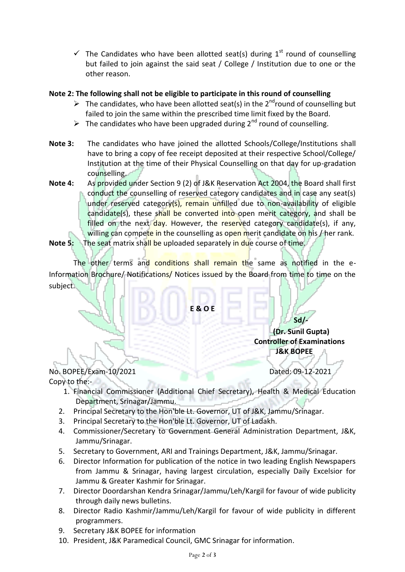$\checkmark$  The Candidates who have been allotted seat(s) during 1<sup>st</sup> round of counselling but failed to join against the said seat / College / Institution due to one or the other reason.

### **Note 2: The following shall not be eligible to participate in this round of counselling**

- $\triangleright$  The candidates, who have been allotted seat(s) in the 2<sup>nd</sup>round of counselling but failed to join the same within the prescribed time limit fixed by the Board.
- $\triangleright$  The candidates who have been upgraded during 2<sup>nd</sup> round of counselling.
- **Note 3:** The candidates who have joined the allotted Schools/College/Institutions shall have to bring a copy of fee receipt deposited at their respective School/College/ Institution at the time of their Physical Counselling on that day for up-gradation counselling.
- **Note 4:** As provided under Section 9 (2) of J&K Reservation Act 2004, the Board shall first conduct the counselling of reserved category candidates and in case any seat(s) under reserved category(s), remain unfilled due to non-availability of eligible candidate(s), these shall be converted into open merit category, and shall be filled on the next day. However, the reserved category candidate(s), if any, willing can compete in the counselling as open merit candidate on his / her rank.
- **Note 5:** The seat matrix shall be uploaded separately in due course of time.

The other terms and conditions shall remain the same as notified in the e-Information Brochure/ Notifications/ Notices issued by the Board from time to time on the subject.

**E & O E**

**Sd/- (Dr. Sunil Gupta) Controller of Examinations J&K BOPEE**

- No. BOPEE/Exam-10/2021 Dated: 09-12-2021 Copy to the:-
	- 1. Financial Commissioner (Additional Chief Secretary), Health & Medical Education Department, Srinagar/Jammu.
	- 2. Principal Secretary to the Hon'ble Lt. Governor, UT of J&K, Jammu/Srinagar.
	- 3. Principal Secretary to the Hon'ble Lt. Governor, UT of Ladakh.
	- 4. Commissioner/Secretary to Government General Administration Department, J&K, Jammu/Srinagar.
	- 5. Secretary to Government, ARI and Trainings Department, J&K, Jammu/Srinagar.
	- 6. Director Information for publication of the notice in two leading English Newspapers from Jammu & Srinagar, having largest circulation, especially Daily Excelsior for Jammu & Greater Kashmir for Srinagar.
	- 7. Director Doordarshan Kendra Srinagar/Jammu/Leh/Kargil for favour of wide publicity through daily news bulletins.
	- 8. Director Radio Kashmir/Jammu/Leh/Kargil for favour of wide publicity in different programmers.
	- 9. Secretary J&K BOPEE for information
	- 10. President, J&K Paramedical Council, GMC Srinagar for information.